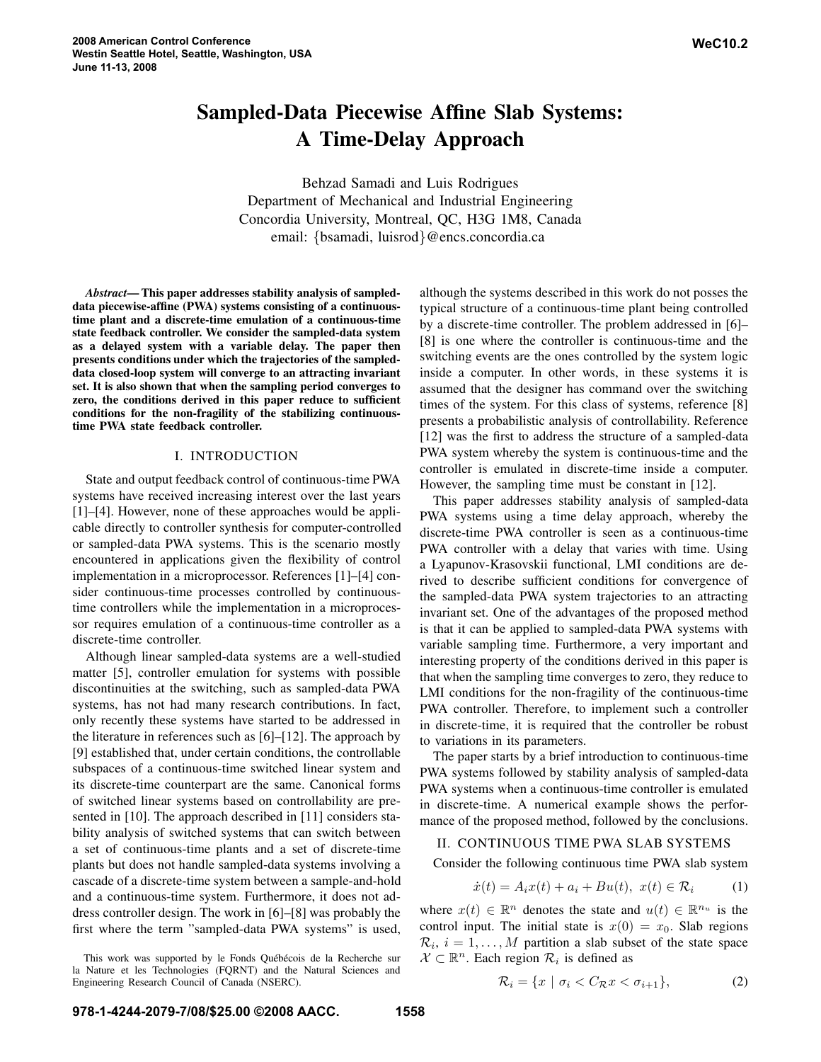# **Sampled-Data Piecewise Affine Slab Systems: A Time-Delay Approach**

Behzad Samadi and Luis Rodrigues Department of Mechanical and Industrial Engineering Concordia University, Montreal, QC, H3G 1M8, Canada email: {bsamadi, luisrod}@encs.concordia.ca

*Abstract***— This paper addresses stability analysis of sampleddata piecewise-affine (PWA) systems consisting of a continuoustime plant and a discrete-time emulation of a continuous-time state feedback controller. We consider the sampled-data system as a delayed system with a variable delay. The paper then presents conditions under which the trajectories of the sampleddata closed-loop system will converge to an attracting invariant set. It is also shown that when the sampling period converges to zero, the conditions derived in this paper reduce to sufficient conditions for the non-fragility of the stabilizing continuoustime PWA state feedback controller.**

## I. INTRODUCTION

State and output feedback control of continuous-time PWA systems have received increasing interest over the last years [1]–[4]. However, none of these approaches would be applicable directly to controller synthesis for computer-controlled or sampled-data PWA systems. This is the scenario mostly encountered in applications given the flexibility of control implementation in a microprocessor. References [1]–[4] consider continuous-time processes controlled by continuoustime controllers while the implementation in a microprocessor requires emulation of a continuous-time controller as a discrete-time controller.

Although linear sampled-data systems are a well-studied matter [5], controller emulation for systems with possible discontinuities at the switching, such as sampled-data PWA systems, has not had many research contributions. In fact, only recently these systems have started to be addressed in the literature in references such as [6]–[12]. The approach by [9] established that, under certain conditions, the controllable subspaces of a continuous-time switched linear system and its discrete-time counterpart are the same. Canonical forms of switched linear systems based on controllability are presented in [10]. The approach described in [11] considers stability analysis of switched systems that can switch between a set of continuous-time plants and a set of discrete-time plants but does not handle sampled-data systems involving a cascade of a discrete-time system between a sample-and-hold and a continuous-time system. Furthermore, it does not address controller design. The work in [6]–[8] was probably the first where the term "sampled-data PWA systems" is used,

This work was supported by le Fonds Québécois de la Recherche sur la Nature et les Technologies (FQRNT) and the Natural Sciences and Engineering Research Council of Canada (NSERC).

although the systems described in this work do not posses the typical structure of a continuous-time plant being controlled by a discrete-time controller. The problem addressed in [6]– [8] is one where the controller is continuous-time and the switching events are the ones controlled by the system logic inside a computer. In other words, in these systems it is assumed that the designer has command over the switching times of the system. For this class of systems, reference [8] presents a probabilistic analysis of controllability. Reference [12] was the first to address the structure of a sampled-data PWA system whereby the system is continuous-time and the controller is emulated in discrete-time inside a computer. However, the sampling time must be constant in [12].

This paper addresses stability analysis of sampled-data PWA systems using a time delay approach, whereby the discrete-time PWA controller is seen as a continuous-time PWA controller with a delay that varies with time. Using a Lyapunov-Krasovskii functional, LMI conditions are derived to describe sufficient conditions for convergence of the sampled-data PWA system trajectories to an attracting invariant set. One of the advantages of the proposed method is that it can be applied to sampled-data PWA systems with variable sampling time. Furthermore, a very important and interesting property of the conditions derived in this paper is that when the sampling time converges to zero, they reduce to LMI conditions for the non-fragility of the continuous-time PWA controller. Therefore, to implement such a controller in discrete-time, it is required that the controller be robust to variations in its parameters.

The paper starts by a brief introduction to continuous-time PWA systems followed by stability analysis of sampled-data PWA systems when a continuous-time controller is emulated in discrete-time. A numerical example shows the performance of the proposed method, followed by the conclusions.

# II. CONTINUOUS TIME PWA SLAB SYSTEMS

Consider the following continuous time PWA slab system

$$
\dot{x}(t) = A_i x(t) + a_i + Bu(t), \ x(t) \in \mathcal{R}_i \tag{1}
$$

where  $x(t) \in \mathbb{R}^n$  denotes the state and  $u(t) \in \mathbb{R}^{n_u}$  is the control input. The initial state is  $x(0) = x_0$ . Slab regions  $\mathcal{R}_i$ ,  $i = 1, \ldots, M$  partition a slab subset of the state space  $\mathcal{X} \subset \mathbb{R}^n$ . Each region  $\mathcal{R}_i$  is defined as

$$
\mathcal{R}_i = \{x \mid \sigma_i < C_{\mathcal{R}} x < \sigma_{i+1}\},\tag{2}
$$

## **978-1-4244-2079-7/08/\$25.00 ©2008 AACC. 1558**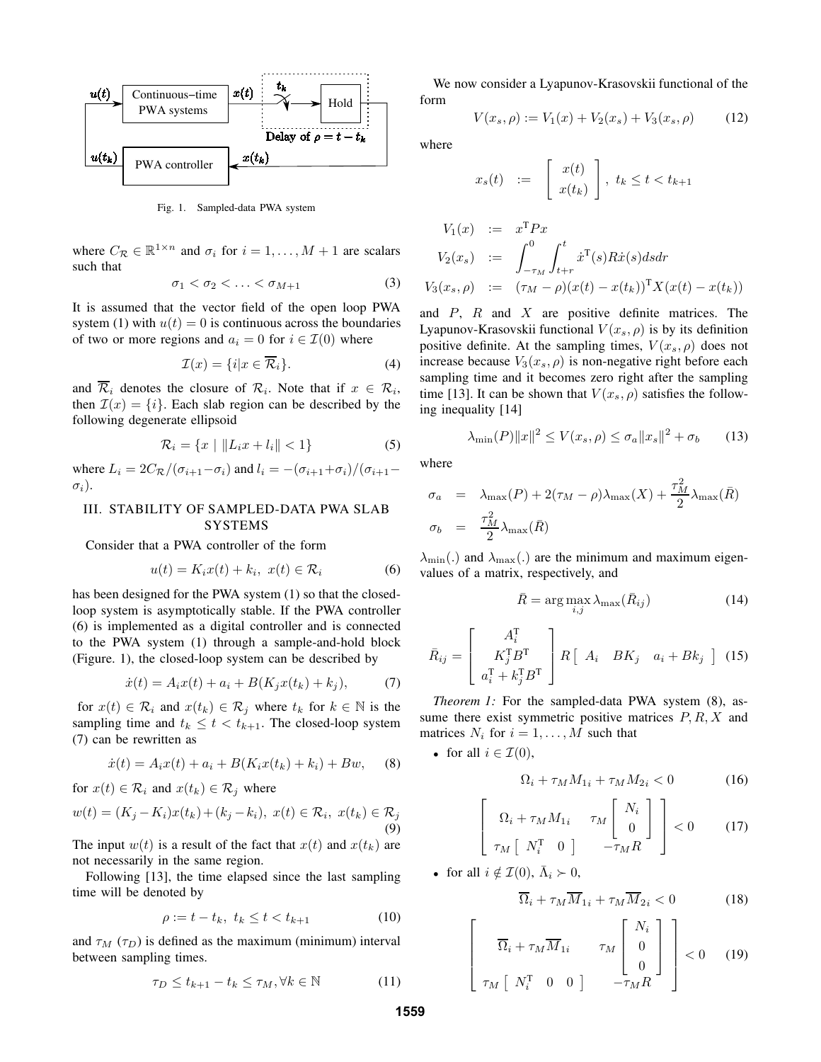

Fig. 1. Sampled-data PWA system

where  $C_{\mathcal{R}} \in \mathbb{R}^{1 \times n}$  and  $\sigma_i$  for  $i = 1, ..., M + 1$  are scalars such that

$$
\sigma_1 < \sigma_2 < \ldots < \sigma_{M+1} \tag{3}
$$

It is assumed that the vector field of the open loop PWA system (1) with  $u(t) = 0$  is continuous across the boundaries of two or more regions and  $a_i = 0$  for  $i \in \mathcal{I}(0)$  where

$$
\mathcal{I}(x) = \{i | x \in \overline{\mathcal{R}}_i\}.
$$
 (4)

and  $\mathcal{R}_i$  denotes the closure of  $\mathcal{R}_i$ . Note that if  $x \in \mathcal{R}_i$ , then  $\mathcal{I}(x) = \{i\}$ . Each slab region can be described by the following degenerate ellipsoid

$$
\mathcal{R}_i = \{ x \mid ||L_i x + l_i|| < 1 \}
$$
 (5)

where  $L_i = 2C_{\mathcal{R}}/(\sigma_{i+1}-\sigma_i)$  and  $l_i = -(\sigma_{i+1}+\sigma_i)/(\sigma_{i+1}-\sigma_i)$  $\sigma_i$ ).

# III. STABILITY OF SAMPLED-DATA PWA SLAB SYSTEMS

Consider that a PWA controller of the form

$$
u(t) = K_i x(t) + k_i, \ x(t) \in \mathcal{R}_i
$$
 (6)

has been designed for the PWA system (1) so that the closedloop system is asymptotically stable. If the PWA controller (6) is implemented as a digital controller and is connected to the PWA system (1) through a sample-and-hold block (Figure. 1), the closed-loop system can be described by

$$
\dot{x}(t) = A_i x(t) + a_i + B(K_j x(t_k) + k_j),\tag{7}
$$

for  $x(t) \in \mathcal{R}_i$  and  $x(t_k) \in \mathcal{R}_j$  where  $t_k$  for  $k \in \mathbb{N}$  is the sampling time and  $t_k \leq t < t_{k+1}$ . The closed-loop system (7) can be rewritten as

$$
\dot{x}(t) = A_i x(t) + a_i + B(K_i x(t_k) + k_i) + Bw,\t(8)
$$

for  $x(t) \in \mathcal{R}_i$  and  $x(t_k) \in \mathcal{R}_j$  where

$$
w(t) = (K_j - K_i)x(t_k) + (k_j - k_i), \ x(t) \in \mathcal{R}_i, \ x(t_k) \in \mathcal{R}_j
$$
\n
$$
(9)
$$

The input  $w(t)$  is a result of the fact that  $x(t)$  and  $x(t_k)$  are not necessarily in the same region.

Following [13], the time elapsed since the last sampling time will be denoted by

$$
\rho := t - t_k, \ t_k \le t < t_{k+1} \tag{10}
$$

and  $\tau_M$  ( $\tau_D$ ) is defined as the maximum (minimum) interval between sampling times.

$$
\tau_D \le t_{k+1} - t_k \le \tau_M, \forall k \in \mathbb{N} \tag{11}
$$

We now consider a Lyapunov-Krasovskii functional of the form

$$
V(x_s, \rho) := V_1(x) + V_2(x_s) + V_3(x_s, \rho) \tag{12}
$$

where

$$
x_s(t) := \begin{bmatrix} x(t) \\ x(t_k) \end{bmatrix}, \ t_k \le t < t_{k+1}
$$

$$
V_1(x) := x^{\mathrm{T}} P x
$$
  
\n
$$
V_2(x_s) := \int_{-\tau_M}^0 \int_{t+r}^t x^{\mathrm{T}}(s) R \dot{x}(s) ds dr
$$
  
\n
$$
V_3(x_s, \rho) := (\tau_M - \rho) (x(t) - x(t_k))^{\mathrm{T}} X(x(t) - x(t_k))
$$

and  $P$ ,  $R$  and  $X$  are positive definite matrices. The Lyapunov-Krasovskii functional  $V(x_s, \rho)$  is by its definition positive definite. At the sampling times,  $V(x_s, \rho)$  does not increase because  $V_3(x_s, \rho)$  is non-negative right before each sampling time and it becomes zero right after the sampling time [13]. It can be shown that  $V(x_s, \rho)$  satisfies the following inequality [14]

$$
\lambda_{\min}(P) \|x\|^2 \le V(x_s, \rho) \le \sigma_a \|x_s\|^2 + \sigma_b \qquad (13)
$$

where

$$
\sigma_a = \lambda_{\max}(P) + 2(\tau_M - \rho)\lambda_{\max}(X) + \frac{\tau_M^2}{2}\lambda_{\max}(\bar{R})
$$
  

$$
\sigma_b = \frac{\tau_M^2}{2}\lambda_{\max}(\bar{R})
$$

 $\lambda_{\min}$ .) and  $\lambda_{\max}$ .) are the minimum and maximum eigenvalues of a matrix, respectively, and

$$
\bar{R} = \arg\max_{i,j} \lambda_{\max}(\bar{R}_{ij})
$$
\n(14)

$$
\bar{R}_{ij} = \begin{bmatrix} A_i^{\mathrm{T}} \\ K_j^{\mathrm{T}} B^{\mathrm{T}} \\ a_i^{\mathrm{T}} + k_j^{\mathrm{T}} B^{\mathrm{T}} \end{bmatrix} R \begin{bmatrix} A_i & B K_j & a_i + B k_j \end{bmatrix} \tag{15}
$$

*Theorem 1:* For the sampled-data PWA system (8), assume there exist symmetric positive matrices  $P, R, X$  and matrices  $N_i$  for  $i = 1, ..., M$  such that

• for all  $i \in \mathcal{I}(0)$ ,

$$
\Omega_i + \tau_M M_{1i} + \tau_M M_{2i} < 0 \tag{16}
$$

$$
\begin{bmatrix}\n\Omega_i + \tau_M M_{1i} & \tau_M \begin{bmatrix} N_i \\ 0 \end{bmatrix} \\
\tau_M \begin{bmatrix} N_i^T & 0 \end{bmatrix} & -\tau_M R\n\end{bmatrix} < 0\n\tag{17}
$$

• for all  $i \notin \mathcal{I}(0), \bar{\Lambda}_i \succ 0$ ,

$$
\overline{\Omega}_i + \tau_M \overline{M}_{1i} + \tau_M \overline{M}_{2i} < 0 \tag{18}
$$

$$
\begin{bmatrix}\n\overline{\Omega}_i + \tau_M \overline{M}_{1i} & \tau_M \begin{bmatrix} N_i \\ 0 \\ 0 \end{bmatrix} \\
\tau_M \begin{bmatrix} N_i^{\mathrm{T}} & 0 & 0 \end{bmatrix} & -\tau_M R\n\end{bmatrix} < 0 \quad (19)
$$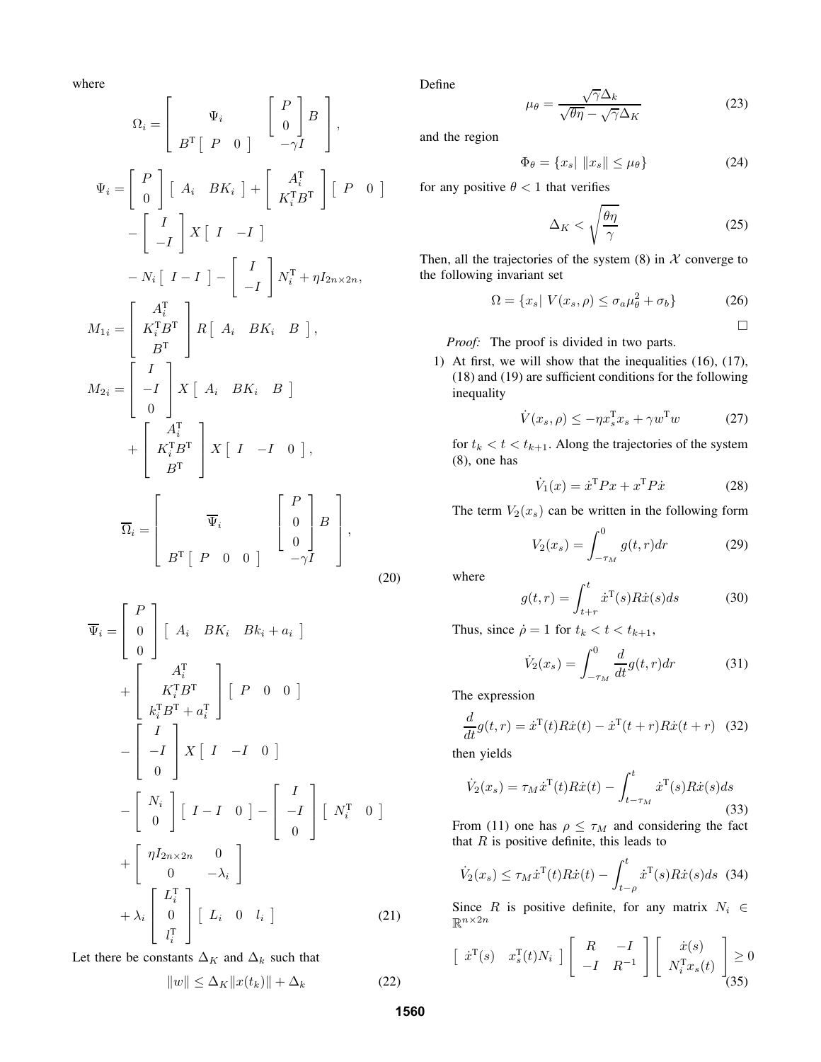where

$$
\Omega_{i} = \begin{bmatrix} \Psi_{i} & \begin{bmatrix} P \\ 0 \end{bmatrix} B \\ B^{T} \begin{bmatrix} P & 0 \end{bmatrix} & -\gamma I \end{bmatrix},
$$
  
\n
$$
\Psi_{i} = \begin{bmatrix} P \\ 0 \end{bmatrix} \begin{bmatrix} A_{i} & BK_{i} \end{bmatrix} + \begin{bmatrix} A_{i}^{T} \\ K_{i}^{T}B^{T} \end{bmatrix} \begin{bmatrix} P & 0 \end{bmatrix} - \begin{bmatrix} I \\ -I \end{bmatrix} X \begin{bmatrix} I & -I \end{bmatrix} - N_{i} \begin{bmatrix} I & -I \end{bmatrix} - N_{i} \begin{bmatrix} I & -I \end{bmatrix} N_{i}^{T} + \eta I_{2n \times 2n},
$$
  
\n
$$
M_{1i} = \begin{bmatrix} A_{i}^{T} \\ K_{i}^{T}B^{T} \\ B^{T} \end{bmatrix} R \begin{bmatrix} A_{i} & BK_{i} & B \end{bmatrix},
$$
  
\n
$$
M_{2i} = \begin{bmatrix} I \\ -I \\ 0 \end{bmatrix} X \begin{bmatrix} A_{i} & BK_{i} & B \end{bmatrix} + \begin{bmatrix} A_{i}^{T} \\ K_{i}^{T}B^{T} \\ B^{T} \end{bmatrix} X \begin{bmatrix} I & -I & 0 \end{bmatrix},
$$
  
\n
$$
\overline{\Omega}_{i} = \begin{bmatrix} \overline{\Psi}_{i} & \begin{bmatrix} P \\ 0 \\ B^{T} \end{bmatrix} B \\ B^{T} \begin{bmatrix} P & 0 & 0 \end{bmatrix} - \gamma I \end{bmatrix},
$$
  
\n(20)

$$
\overline{\Psi}_{i} = \begin{bmatrix} P \\ 0 \\ 0 \end{bmatrix} \begin{bmatrix} A_{i} & BK_{i} & Bk_{i} + a_{i} \end{bmatrix} + \begin{bmatrix} A_{i}^{T} \\ K_{i}^{T}B^{T} \\ k_{i}^{T}B^{T} + a_{i}^{T} \end{bmatrix} \begin{bmatrix} P & 0 & 0 \end{bmatrix} - \begin{bmatrix} I \\ -I \\ 0 \end{bmatrix} X \begin{bmatrix} I & -I & 0 \end{bmatrix} - \begin{bmatrix} I \\ 0 \end{bmatrix} \begin{bmatrix} I - I & 0 \end{bmatrix} - \begin{bmatrix} I \\ -I \\ 0 \end{bmatrix} \begin{bmatrix} N_{i}^{T} & 0 \end{bmatrix} + \begin{bmatrix} \eta I_{2n \times 2n} & 0 \\ 0 & -\lambda_{i} \end{bmatrix} + \lambda_{i} \begin{bmatrix} L_{i}^{T} \\ 0 \\ l_{i}^{T} \end{bmatrix} \begin{bmatrix} L_{i} & 0 & l_{i} \end{bmatrix} \qquad (21)
$$

Let there be constants  $\Delta_K$  and  $\Delta_k$  such that

$$
||w|| \leq \Delta_K ||x(t_k)|| + \Delta_k \tag{22}
$$

Define

$$
\mu_{\theta} = \frac{\sqrt{\gamma} \Delta_k}{\sqrt{\theta \eta} - \sqrt{\gamma} \Delta_K} \tag{23}
$$

and the region

$$
\Phi_{\theta} = \{x_s | \|x_s\| \le \mu_{\theta}\}\tag{24}
$$

for any positive  $\theta$  < 1 that verifies

$$
\Delta_K < \sqrt{\frac{\theta \eta}{\gamma}} \tag{25}
$$

Then, all the trajectories of the system  $(8)$  in  $\mathcal X$  converge to the following invariant set

$$
\Omega = \{x_s | V(x_s, \rho) \le \sigma_a \mu_\theta^2 + \sigma_b\}
$$
 (26)

 $\Box$ 

*Proof:* The proof is divided in two parts.

1) At first, we will show that the inequalities (16), (17), (18) and (19) are sufficient conditions for the following inequality

$$
\dot{V}(x_s, \rho) \le -\eta x_s^{\mathrm{T}} x_s + \gamma w^{\mathrm{T}} w \tag{27}
$$

for  $t_k < t < t_{k+1}$ . Along the trajectories of the system (8), one has

$$
\dot{V}_1(x) = \dot{x}^{\mathrm{T}} P x + x^{\mathrm{T}} P \dot{x} \tag{28}
$$

The term  $V_2(x_s)$  can be written in the following form

$$
V_2(x_s) = \int_{-\tau_M}^{0} g(t, r) dr
$$
 (29)

where

$$
g(t,r) = \int_{t+r}^{t} \dot{x}^{\mathrm{T}}(s) R \dot{x}(s) ds \tag{30}
$$

Thus, since  $\dot{\rho} = 1$  for  $t_k < t < t_{k+1}$ ,

$$
\dot{V}_2(x_s) = \int_{-\tau_M}^0 \frac{d}{dt} g(t, r) dr \tag{31}
$$

The expression

$$
\frac{d}{dt}g(t,r) = \dot{x}^{\mathrm{T}}(t)R\dot{x}(t) - \dot{x}^{\mathrm{T}}(t+r)R\dot{x}(t+r) \quad (32)
$$

then yields

$$
\dot{V}_2(x_s) = \tau_M \dot{x}^{\mathrm{T}}(t) R \dot{x}(t) - \int_{t-\tau_M}^t \dot{x}^{\mathrm{T}}(s) R \dot{x}(s) ds
$$
\n(33)

From (11) one has  $\rho \leq \tau_M$  and considering the fact that  $R$  is positive definite, this leads to

$$
\dot{V}_2(x_s) \le \tau_M \dot{x}^{\mathrm{T}}(t) R \dot{x}(t) - \int_{t-\rho}^t \dot{x}^{\mathrm{T}}(s) R \dot{x}(s) ds
$$
 (34)

Since R is positive definite, for any matrix  $N_i \in$  $\mathbb{R}^{n \times 2n}$ 

$$
\begin{bmatrix} \dot{x}^{\mathrm{T}}(s) & x_s^{\mathrm{T}}(t)N_i \end{bmatrix} \begin{bmatrix} R & -I \\ -I & R^{-1} \end{bmatrix} \begin{bmatrix} \dot{x}(s) \\ N_i^{\mathrm{T}}x_s(t) \end{bmatrix} \geq 0
$$
\n(35)

**1560**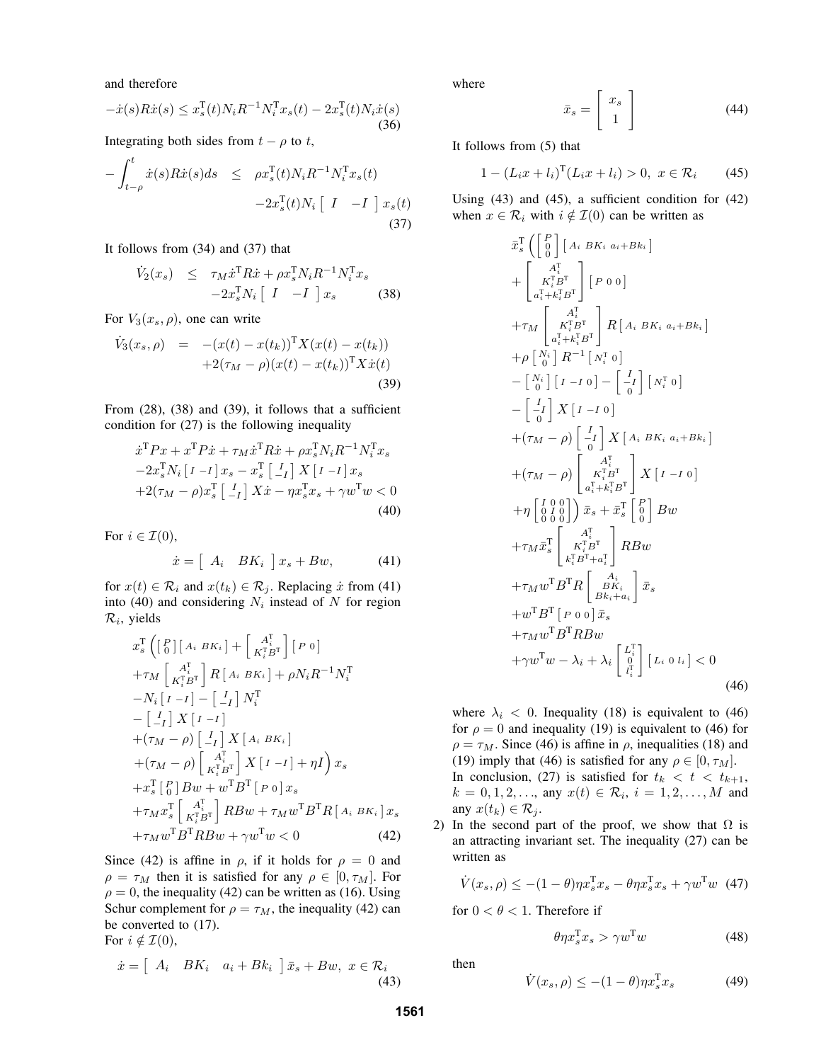and therefore

$$
-\dot{x}(s)R\dot{x}(s) \le x_s^{\mathrm{T}}(t)N_i R^{-1} N_i^{\mathrm{T}} x_s(t) - 2x_s^{\mathrm{T}}(t)N_i\dot{x}(s)
$$
\n(36)

Integrating both sides from  $t - \rho$  to t,

$$
-\int_{t-\rho}^{t} \dot{x}(s)R\dot{x}(s)ds \leq \rho x_{s}^{\text{T}}(t)N_{i}R^{-1}N_{i}^{\text{T}}x_{s}(t) -2x_{s}^{\text{T}}(t)N_{i}\begin{bmatrix} I & -I \end{bmatrix}x_{s}(t)
$$
\n(37)

It follows from (34) and (37) that

$$
\dot{V}_2(x_s) \leq \tau_M \dot{x}^\text{T} R \dot{x} + \rho x_s^\text{T} N_i R^{-1} N_i^\text{T} x_s
$$
  
-2x\_s^\text{T} N\_i [ I -I ] x\_s (38)

For  $V_3(x_s, \rho)$ , one can write

$$
\dot{V}_3(x_s, \rho) = -(x(t) - x(t_k))^{\mathrm{T}} X(x(t) - x(t_k)) \n+2(\tau_M - \rho)(x(t) - x(t_k))^{\mathrm{T}} X \dot{x}(t) \n(39)
$$

From  $(28)$ ,  $(38)$  and  $(39)$ , it follows that a sufficient condition for (27) is the following inequality

$$
\dot{x}^{\mathrm{T}} P x + x^{\mathrm{T}} P \dot{x} + \tau_M \dot{x}^{\mathrm{T}} R \dot{x} + \rho x_s^{\mathrm{T}} N_i R^{-1} N_i^{\mathrm{T}} x_s \n-2 x_s^{\mathrm{T}} N_i \left[ I - I \right] x_s - x_s^{\mathrm{T}} \left[ \begin{array}{c} I \\ -I \end{array} \right] X \left[ I - I \right] x_s \n+2 (\tau_M - \rho) x_s^{\mathrm{T}} \left[ \begin{array}{c} I \\ -I \end{array} \right] X \dot{x} - \eta x_s^{\mathrm{T}} x_s + \gamma w^{\mathrm{T}} w < 0
$$
\n(40)

For  $i \in \mathcal{I}(0)$ ,  $\dot{x} = \begin{bmatrix} A_i & BK_i \end{bmatrix} x_s + Bw,$  (41)

for  $x(t) \in \mathcal{R}_i$  and  $x(t_k) \in \mathcal{R}_j$ . Replacing  $\dot{x}$  from (41) into (40) and considering  $N_i$  instead of N for region  $\mathcal{R}_i$ , yields

$$
x_{s}^{\mathrm{T}} \left( \begin{bmatrix} P \\ 0 \end{bmatrix} \begin{bmatrix} A_{i} & BK_{i} \end{bmatrix} + \begin{bmatrix} A_{i}^{\mathrm{T}} \\ K_{i}^{\mathrm{T}}B^{\mathrm{T}} \end{bmatrix} \begin{bmatrix} P & 0 \end{bmatrix} \right)
$$
  
+
$$
\tau_{M} \begin{bmatrix} A_{i}^{\mathrm{T}} \\ K_{i}^{\mathrm{T}}B^{\mathrm{T}} \end{bmatrix} R \begin{bmatrix} A_{i} & BK_{i} \end{bmatrix} + \rho N_{i}R^{-1}N_{i}^{\mathrm{T}}
$$
  
-
$$
N_{i} \begin{bmatrix} I & -I \end{bmatrix} - \begin{bmatrix} I \\ -I \end{bmatrix} N_{i}^{\mathrm{T}}
$$
  
+
$$
(\tau_{M} - \rho) \begin{bmatrix} I \\ I \end{bmatrix} X \begin{bmatrix} A_{i} & BK_{i} \end{bmatrix}
$$
  
+
$$
(\tau_{M} - \rho) \begin{bmatrix} A_{i}^{\mathrm{T}} \\ K_{i}^{\mathrm{T}}B^{\mathrm{T}} \end{bmatrix} X \begin{bmatrix} I & -I \end{bmatrix} + \eta I \end{bmatrix} x_{s}
$$
  
+
$$
x_{s}^{\mathrm{T}} \begin{bmatrix} P \\ 0 \end{bmatrix} B w + w^{\mathrm{T}} B^{\mathrm{T}} \begin{bmatrix} P & 0 \end{bmatrix} x_{s}
$$
  
+
$$
\tau_{M} x_{s}^{\mathrm{T}} \begin{bmatrix} A_{i}^{\mathrm{T}} \\ K_{i}^{\mathrm{T}}B^{\mathrm{T}} \end{bmatrix} R B w + \tau_{M} w^{\mathrm{T}} B^{\mathrm{T}} R \begin{bmatrix} A_{i} & BK_{i} \end{bmatrix} x_{s}
$$
  
+
$$
\tau_{M} w^{\mathrm{T}} B^{\mathrm{T}} R B w + \gamma w^{\mathrm{T}} w < 0
$$
 (42)

Since (42) is affine in  $\rho$ , if it holds for  $\rho = 0$  and  $\rho = \tau_M$  then it is satisfied for any  $\rho \in [0, \tau_M]$ . For  $\rho = 0$ , the inequality (42) can be written as (16). Using Schur complement for  $\rho = \tau_M$ , the inequality (42) can be converted to (17). For  $i \notin \mathcal{I}(0)$ ,

$$
\dot{x} = \left[ A_i \quad BK_i \quad a_i + Bk_i \right] \bar{x}_s + Bw, \ x \in \mathcal{R}_i
$$
\n(43)

where

$$
\bar{x}_s = \left[ \begin{array}{c} x_s \\ 1 \end{array} \right] \tag{44}
$$

It follows from (5) that

$$
1 - (L_i x + l_i)^{\mathrm{T}} (L_i x + l_i) > 0, \ x \in \mathcal{R}_i \tag{45}
$$

Using (43) and (45), a sufficient condition for (42) when  $x \in \mathcal{R}_i$  with  $i \notin \mathcal{I}(0)$  can be written as

$$
\bar{x}_{s}^{\mathrm{T}}\left(\begin{bmatrix}P\\0\\0\end{bmatrix}\begin{bmatrix}A_{i} & BA_{i} & a_{i}+B_{i}\end{bmatrix}\right) + \begin{bmatrix}A_{i}^{\mathrm{T}}\\K_{i}^{\mathrm{T}}B^{\mathrm{T}}\\a_{i}^{\mathrm{T}}+k_{i}^{\mathrm{T}}B^{\mathrm{T}}\end{bmatrix}\begin{bmatrix}P&0&0\end{bmatrix} + \tau_{M}\begin{bmatrix}A_{i}^{\mathrm{T}}\\K_{i}^{\mathrm{T}}B^{\mathrm{T}}\\a_{i}^{\mathrm{T}}+k_{i}^{\mathrm{T}}B^{\mathrm{T}}\end{bmatrix}R\begin{bmatrix}A_{i} & BA_{i} & a_{i}+B_{i}\end{bmatrix} + \rho\begin{bmatrix}N_{i}^{\mathrm{T}}\\0\end{bmatrix}\begin{bmatrix}R^{-1}\begin{bmatrix}N_{i}^{\mathrm{T}}\\0\end{bmatrix}\begin{bmatrix}I\end{bmatrix}R^{-1}\begin{bmatrix}N_{i}^{\mathrm{T}}\\0\end{bmatrix}\end{bmatrix} - \begin{bmatrix}N_{i}^{\mathrm{T}}\\0\end{bmatrix}\begin{bmatrix}I-I&0\end{bmatrix} - \begin{bmatrix}I\\0\end{bmatrix}\begin{bmatrix}N_{i}^{\mathrm{T}}\\N\end{bmatrix}X\begin{bmatrix}I-I&0\end{bmatrix} + (\tau_{M}-\rho)\begin{bmatrix}I\\A_{i}^{\mathrm{T}}B^{\mathrm{T}}\\a_{i}^{\mathrm{T}}+k_{i}^{\mathrm{T}}B^{\mathrm{T}}\\A_{i}^{\mathrm{T}}B^{\mathrm{T}}\end{bmatrix}X\begin{bmatrix}I-I&0\end{bmatrix} + \eta\begin{bmatrix}I\\0&0&0\end{bmatrix}\begin{bmatrix}A_{i}^{\mathrm{T}}\\B_{i}^{\mathrm{T}}B^{\mathrm{T}}\\A_{i}^{\mathrm{T}}+k_{i}^{\mathrm{T}}B^{\mathrm{T}}\end{bmatrix}Bw + \tau_{M}\bar{x}_{s}^{\mathrm{T}}\begin{bmatrix}R\\K_{i}^{\mathrm{T}}B^{\mathrm{T}}\\K_{i}^{\mathrm{T}}B^{\mathrm{T}}+a_{i}^{\mathrm{T}}\end{bmatrix}RBw + \tau_{M}w^{\mathrm{T}}B^{\mathrm{T}}R\begin{bmatrix}A_{i}^{\mathrm{T}}\\B_{i}^{\mathrm{T}}+a_{i}^{\mathrm{T}}\end{bmatrix}\bar{x}_{s} + \tau_{M
$$

where  $\lambda_i$  < 0. Inequality (18) is equivalent to (46) for  $\rho = 0$  and inequality (19) is equivalent to (46) for  $\rho = \tau_M$ . Since (46) is affine in  $\rho$ , inequalities (18) and (19) imply that (46) is satisfied for any  $\rho \in [0, \tau_M]$ . In conclusion, (27) is satisfied for  $t_k < t < t_{k+1}$ ,  $k = 0, 1, 2, \ldots$ , any  $x(t) \in \mathcal{R}_i$ ,  $i = 1, 2, \ldots, M$  and any  $x(t_k) \in \mathcal{R}_j$ .

2) In the second part of the proof, we show that  $\Omega$  is an attracting invariant set. The inequality (27) can be written as

$$
\dot{V}(x_s, \rho) \le -(1 - \theta)\eta x_s^{\mathrm{T}} x_s - \theta \eta x_s^{\mathrm{T}} x_s + \gamma w^{\mathrm{T}} w \tag{47}
$$

for  $0 < \theta < 1$ . Therefore if

$$
\theta \eta x_s^{\mathrm{T}} x_s > \gamma w^{\mathrm{T}} w \tag{48}
$$

then

$$
\dot{V}(x_s, \rho) \le -(1 - \theta)\eta x_s^{\mathrm{T}} x_s \tag{49}
$$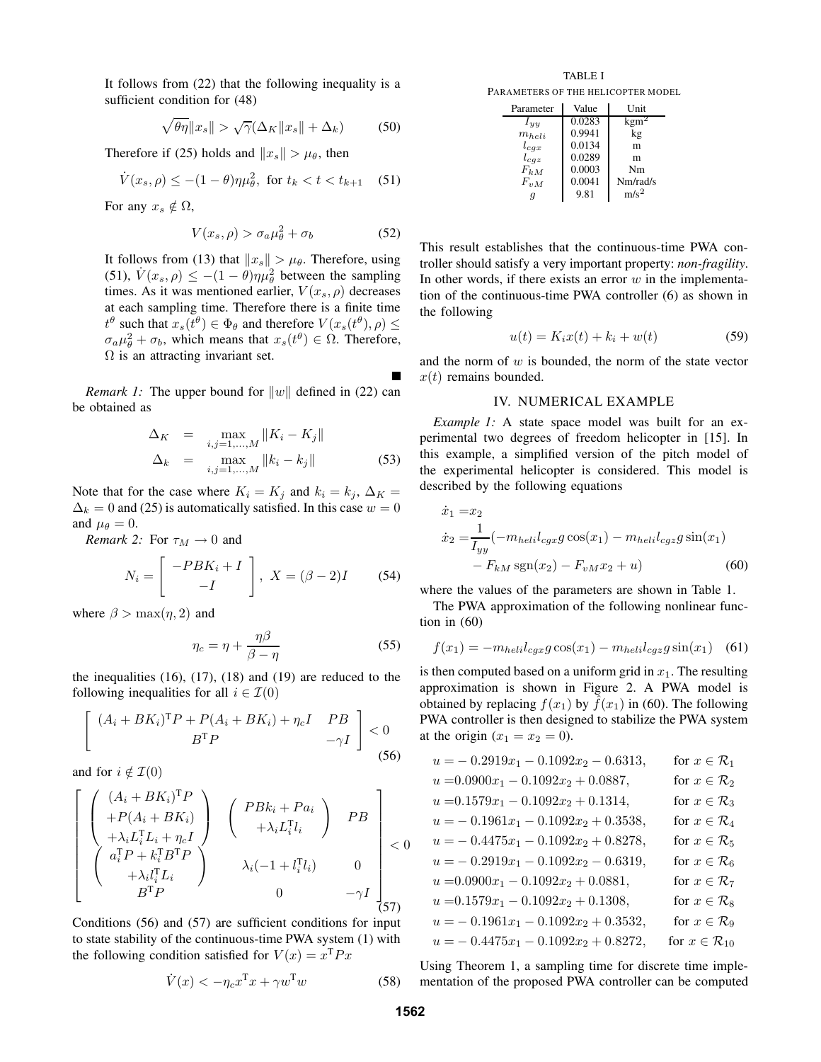It follows from (22) that the following inequality is a sufficient condition for (48)

$$
\sqrt{\theta \eta} \|x_s\| > \sqrt{\gamma} (\Delta_K \|x_s\| + \Delta_k)
$$
 (50)

Therefore if (25) holds and  $||x_s|| > \mu_\theta$ , then

$$
\dot{V}(x_s, \rho) \le -(1 - \theta)\eta \mu_{\theta}^2
$$
, for  $t_k < t < t_{k+1}$  (51)

For any  $x_s \notin \Omega$ ,

$$
V(x_s, \rho) > \sigma_a \mu_\theta^2 + \sigma_b \tag{52}
$$

It follows from (13) that  $||x_s|| > \mu_{\theta}$ . Therefore, using (51),  $V(x_s, \rho) \leq -(1 - \theta)\eta \mu_{\theta}^2$  between the sampling times. As it was mentioned earlier,  $V(x_s, \rho)$  decreases at each sampling time. Therefore there is a finite time  $t^{\theta}$  such that  $x_s(t^{\theta}) \in \Phi_{\theta}$  and therefore  $V(x_s(t^{\theta}), \rho) \leq$  $\sigma_a \mu_\theta^2 + \sigma_b$ , which means that  $x_s(t^\theta) \in \Omega$ . Therefore,  $\Omega$  is an attracting invariant set.

*Remark 1:* The upper bound for  $||w||$  defined in (22) can be obtained as

$$
\Delta_K = \max_{i,j=1,\dots,M} \|K_i - K_j\|
$$
  
\n
$$
\Delta_k = \max_{i,j=1,\dots,M} \|k_i - k_j\|
$$
\n(53)

Note that for the case where  $K_i = K_j$  and  $k_i = k_j$ ,  $\Delta_K =$  $\Delta_k = 0$  and (25) is automatically satisfied. In this case  $w = 0$ and  $\mu_{\theta} = 0$ .

*Remark* 2: For  $\tau_M \rightarrow 0$  and

$$
N_i = \begin{bmatrix} -PBK_i + I \\ -I \end{bmatrix}, \ X = (\beta - 2)I \tag{54}
$$

where  $\beta > \max(\eta, 2)$  and

$$
\eta_c = \eta + \frac{\eta \beta}{\beta - \eta} \tag{55}
$$

the inequalities  $(16)$ ,  $(17)$ ,  $(18)$  and  $(19)$  are reduced to the following inequalities for all  $i \in \mathcal{I}(0)$ 

$$
\begin{bmatrix} (A_i + BK_i)^{\mathrm{T}} P + P(A_i + BK_i) + \eta_c I & PB \\ B^{\mathrm{T}} P & -\gamma I \end{bmatrix} < 0
$$
\n(56)

and for  $i \notin \mathcal{I}(0)$ 

$$
\begin{bmatrix}\n\begin{pmatrix}\n(A_i + BK_i)^T P \\
+P(A_i + BK_i) \\
+A_i L_i^T L_i + \eta_c I\n\end{pmatrix} & \begin{pmatrix}\nPBk_i + Pa_i \\
+A_i L_i^T l_i\n\end{pmatrix} & PB \\
\begin{pmatrix}\na_i^T P + k_i^T B^T P \\
+A_i l_i^T L_i \\
B^T P\n\end{pmatrix} & \lambda_i (-1 + l_i^T l_i) & 0 \\
0 & -\gamma I\n\end{bmatrix} < 0
$$

Conditions (56) and (57) are sufficient conditions for input to state stability of the continuous-time PWA system (1) with the following condition satisfied for  $V(x) = x^{\mathrm{T}} P x$ 

$$
\dot{V}(x) < -\eta_c x^\mathrm{T} x + \gamma w^\mathrm{T} w \tag{58}
$$

TABLE I PARAMETERS OF THE HELICOPTER MODEL

| Parameter       | Value  | Unit             |
|-----------------|--------|------------------|
| $I_{yy}$        | 0.0283 | $\mathrm{kgm}^2$ |
| $m_{heli}$      | 0.9941 | kg               |
| $l_{cgx}$       | 0.0134 | m                |
| $l_{c\bar{q}z}$ | 0.0289 | m                |
| $F_{kM}$        | 0.0003 | Nm               |
| $F_{vM}$        | 0.0041 | Nm/rad/s         |
|                 | 9.81   | $m/s^2$          |

This result establishes that the continuous-time PWA controller should satisfy a very important property: *non-fragility*. In other words, if there exists an error  $w$  in the implementation of the continuous-time PWA controller (6) as shown in the following

$$
u(t) = K_i x(t) + k_i + w(t) \tag{59}
$$

and the norm of  $w$  is bounded, the norm of the state vector  $x(t)$  remains bounded.

#### IV. NUMERICAL EXAMPLE

*Example 1:* A state space model was built for an experimental two degrees of freedom helicopter in [15]. In this example, a simplified version of the pitch model of the experimental helicopter is considered. This model is described by the following equations

$$
\dot{x}_1 = x_2
$$
  
\n
$$
\dot{x}_2 = \frac{1}{I_{yy}} (-m_{heli}l_{cgx}g\cos(x_1) - m_{heli}l_{cgz}g\sin(x_1) - F_{kM}\text{sgn}(x_2) - F_{vM}x_2 + u)
$$
 (60)

where the values of the parameters are shown in Table 1.

The PWA approximation of the following nonlinear function in (60)

$$
f(x_1) = -m_{heli}l_{cgx}g\cos(x_1) - m_{heli}l_{cgz}g\sin(x_1)
$$
 (61)

is then computed based on a uniform grid in  $x_1$ . The resulting approximation is shown in Figure 2. A PWA model is obtained by replacing  $f(x_1)$  by  $f(x_1)$  in (60). The following PWA controller is then designed to stabilize the PWA system at the origin  $(x_1 = x_2 = 0)$ .

$$
u = -0.2919x_1 - 0.1092x_2 - 0.6313,
$$
 for  $x \in \mathcal{R}_1$   
\n
$$
u = 0.1579x_1 - 0.1092x_2 + 0.0887,
$$
 for  $x \in \mathcal{R}_2$   
\n
$$
u = -0.1961x_1 - 0.1092x_2 + 0.3538,
$$
 for  $x \in \mathcal{R}_3$   
\n
$$
u = -0.4475x_1 - 0.1092x_2 + 0.8278,
$$
 for  $x \in \mathcal{R}_5$   
\n
$$
u = -0.2919x_1 - 0.1092x_2 - 0.6319,
$$
 for  $x \in \mathcal{R}_6$   
\n
$$
u = 0.0900x_1 - 0.1092x_2 + 0.0881,
$$
 for  $x \in \mathcal{R}_7$   
\n
$$
u = 0.1579x_1 - 0.1092x_2 + 0.1308,
$$
 for  $x \in \mathcal{R}_8$   
\n
$$
u = -0.1961x_1 - 0.1092x_2 + 0.3532,
$$
 for  $x \in \mathcal{R}_9$   
\n
$$
u = -0.4475x_1 - 0.1092x_2 + 0.8272,
$$
 for  $x \in \mathcal{R}_{10}$ 

Using Theorem 1, a sampling time for discrete time implementation of the proposed PWA controller can be computed